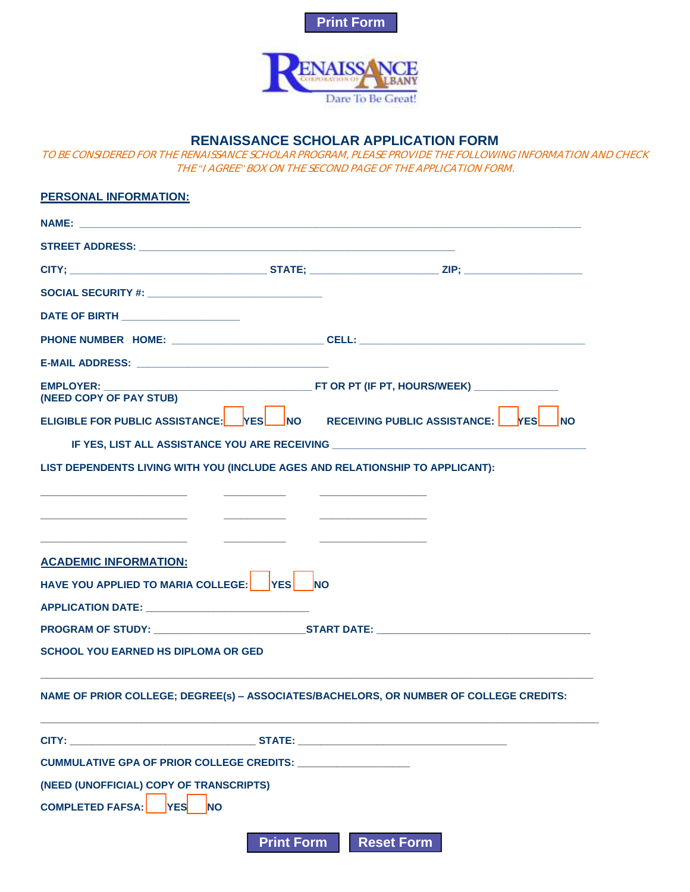



## **RENAISSANCE SCHOLAR APPLICATION FORM**

TO BE CONSIDERED FOR THE RENAISSANCE SCHOLAR PROGRAM, PLEASE PROVIDE THE FOLLOWING INFORMATION AND CHECK THE "I AGREE" BOX ON THE SECOND PAGE OF THE APPLICATION FORM.

| <b>PERSONAL INFORMATION:</b>                                                                                                                                                             |                   |                   |            |
|------------------------------------------------------------------------------------------------------------------------------------------------------------------------------------------|-------------------|-------------------|------------|
|                                                                                                                                                                                          |                   |                   |            |
|                                                                                                                                                                                          |                   |                   |            |
|                                                                                                                                                                                          |                   |                   |            |
|                                                                                                                                                                                          |                   |                   |            |
| DATE OF BIRTH _____________________                                                                                                                                                      |                   |                   |            |
|                                                                                                                                                                                          |                   |                   |            |
|                                                                                                                                                                                          |                   |                   |            |
| <b>EMPLOYER:</b><br>(NEED COPY OF PAY STUB)<br>ELIGIBLE FOR PUBLIC ASSISTANCE: YES NO RECEIVING PUBLIC ASSISTANCE: YES                                                                   |                   |                   |            |
|                                                                                                                                                                                          |                   |                   | <b>INO</b> |
| IF YES, LIST ALL ASSISTANCE YOU ARE RECEIVING __________________________________<br>LIST DEPENDENTS LIVING WITH YOU (INCLUDE AGES AND RELATIONSHIP TO APPLICANT):                        |                   |                   |            |
| <u> 1989 - Johann John Stein, skrivatsk politik (</u><br><b>ACADEMIC INFORMATION:</b><br>HAVE YOU APPLIED TO MARIA COLLEGE: YES NO<br>APPLICATION DATE: ________________________________ |                   |                   |            |
| <b>PROGRAM OF STUDY:</b> START DATE:                                                                                                                                                     |                   |                   |            |
| <b>SCHOOL YOU EARNED HS DIPLOMA OR GED</b>                                                                                                                                               |                   |                   |            |
| NAME OF PRIOR COLLEGE; DEGREE(s) - ASSOCIATES/BACHELORS, OR NUMBER OF COLLEGE CREDITS:                                                                                                   |                   |                   |            |
| <b>CITY:</b> STATE:                                                                                                                                                                      |                   |                   |            |
|                                                                                                                                                                                          |                   |                   |            |
| (NEED (UNOFFICIAL) COPY OF TRANSCRIPTS)<br><b>COMPLETED FAFSA:</b><br><b>NO</b><br><b>YES</b>                                                                                            |                   |                   |            |
|                                                                                                                                                                                          | <b>Print Form</b> | <b>Reset Form</b> |            |